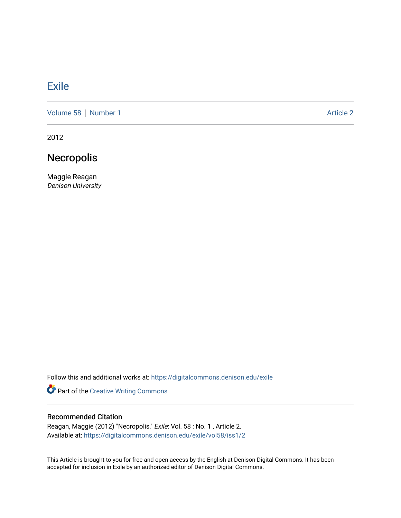## [Exile](https://digitalcommons.denison.edu/exile)

[Volume 58](https://digitalcommons.denison.edu/exile/vol58) [Number 1](https://digitalcommons.denison.edu/exile/vol58/iss1) Article 2

2012

## Necropolis

Maggie Reagan Denison University

Follow this and additional works at: [https://digitalcommons.denison.edu/exile](https://digitalcommons.denison.edu/exile?utm_source=digitalcommons.denison.edu%2Fexile%2Fvol58%2Fiss1%2F2&utm_medium=PDF&utm_campaign=PDFCoverPages) 

Part of the [Creative Writing Commons](http://network.bepress.com/hgg/discipline/574?utm_source=digitalcommons.denison.edu%2Fexile%2Fvol58%2Fiss1%2F2&utm_medium=PDF&utm_campaign=PDFCoverPages) 

## Recommended Citation

Reagan, Maggie (2012) "Necropolis," Exile: Vol. 58 : No. 1 , Article 2. Available at: [https://digitalcommons.denison.edu/exile/vol58/iss1/2](https://digitalcommons.denison.edu/exile/vol58/iss1/2?utm_source=digitalcommons.denison.edu%2Fexile%2Fvol58%2Fiss1%2F2&utm_medium=PDF&utm_campaign=PDFCoverPages) 

This Article is brought to you for free and open access by the English at Denison Digital Commons. It has been accepted for inclusion in Exile by an authorized editor of Denison Digital Commons.